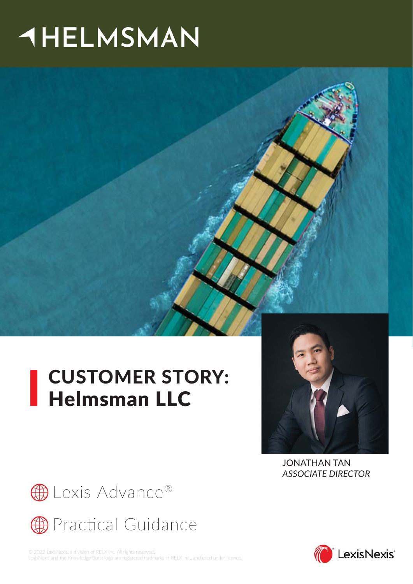# **AHELMSMAN**



## CUSTOMER STORY: LUSIVING



JONATHAN TAN *ASSOCIATE DIRECTOR*



**B** [Lexis Advance®](https://www.lexisnexis.com.my/solutions/lexis-advance-cs)



© 2022 LexisNexis, a division of RELX Inc. All rights reserved. LexisNexis and the Knowledge Burst logo are registered tradmarks of RELX Inc., and used under licence.

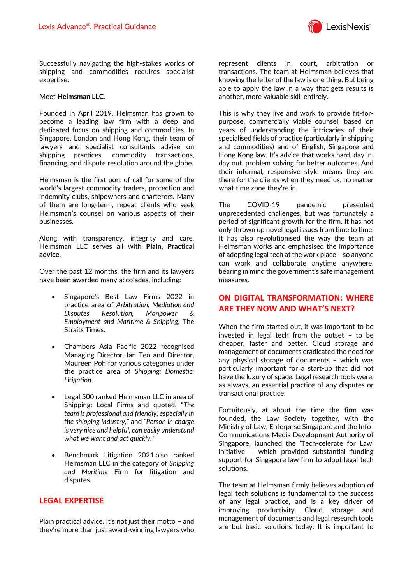

Successfully navigating the high-stakes worlds of shipping and commodities requires specialist expertise.

#### Meet **Helmsman LLC**.

Founded in April 2019, Helmsman has grown to become a leading law firm with a deep and dedicated focus on shipping and commodities. In Singapore, London and Hong Kong, their team of lawyers and specialist consultants advise on shipping practices, commodity transactions, financing, and dispute resolution around the globe.

Helmsman is the first port of call for some of the world's largest commodity traders, protection and indemnity clubs, shipowners and charterers. Many of them are long-term, repeat clients who seek Helmsman's counsel on various aspects of their businesses.

Along with transparency, integrity and care, Helmsman LLC serves all with **Plain, Practical advice**.

Over the past 12 months, the firm and its lawyers have been awarded many accolades, including:

- Singapore's Best Law Firms 2022 in practice area of *Arbitration, Mediation and Disputes Resolution, Manpower & Employment and Maritime & Shipping,* The Straits Times.
- Chambers Asia Pacific 2022 recognised Managing Director, Ian Teo and Director, Maureen Poh for various categories under the practice area of *Shipping: Domestic: Litigation*.
- Legal 500 ranked Helmsman LLC in area of Shipping: Local Firms and quoted, "*The team is professional and friendly, especially in the shipping industry,"* and *"Person in charge is very nice and helpful, can easily understand what we want and act quickly."*
- Benchmark Litigation 2021 also ranked Helmsman LLC in the category of *Shipping and Maritime* Firm for litigation and disputes.

#### **LEGAL EXPERTISE**

Plain practical advice. It's not just their motto – and they're more than just award-winning lawyers who

represent clients in court, arbitration or transactions. The team at Helmsman believes that knowing the letter of the law is one thing. But being able to apply the law in a way that gets results is another, more valuable skill entirely.

This is why they live and work to provide fit-forpurpose, commercially viable counsel, based on years of understanding the intricacies of their specialised fields of practice (particularly in shipping and commodities) and of English, Singapore and Hong Kong law. It's advice that works hard, day in, day out, problem solving for better outcomes. And their informal, responsive style means they are there for the clients when they need us, no matter what time zone they're in.

The COVID-19 pandemic presented unprecedented challenges, but was fortunately a period of significant growth for the firm. It has not only thrown up novel legal issues from time to time. It has also revolutionised the way the team at Helmsman works and emphasised the importance of adopting legal tech at the work place – so anyone can work and collaborate anytime anywhere, bearing in mind the government's safe management measures.

#### **ON DIGITAL TRANSFORMATION: WHERE ARE THEY NOW AND WHAT'S NEXT?**

When the firm started out, it was important to be invested in legal tech from the outset – to be cheaper, faster and better. Cloud storage and management of documents eradicated the need for any physical storage of documents – which was particularly important for a start-up that did not have the luxury of space. Legal research tools were, as always, an essential practice of any disputes or transactional practice.

Fortuitously, at about the time the firm was founded, the Law Society together, with the Ministry of Law, Enterprise Singapore and the Info-Communications Media Development Authority of Singapore, launched the 'Tech-celerate for Law' initiative – which provided substantial funding support for Singapore law firm to adopt legal tech solutions.

The team at Helmsman firmly believes adoption of legal tech solutions is fundamental to the success of any legal practice, and is a key driver of improving productivity. Cloud storage and management of documents and legal research tools are but basic solutions today. It is important to